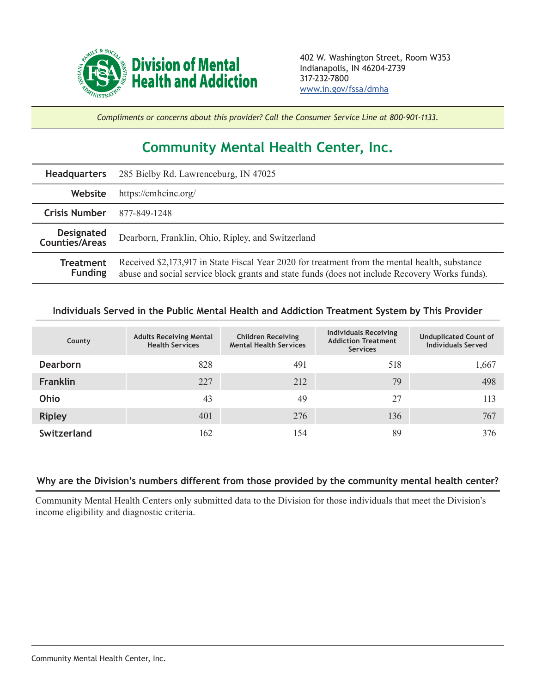

*Compliments or concerns about this provider? Call the Consumer Service Line at 800-901-1133.*

## **Community Mental Health Center, Inc.**

| <b>Headquarters</b>                        | 285 Bielby Rd. Lawrenceburg, IN 47025                                                                                                                                                            |  |  |  |
|--------------------------------------------|--------------------------------------------------------------------------------------------------------------------------------------------------------------------------------------------------|--|--|--|
| Website                                    | https://cmhcinc.org/                                                                                                                                                                             |  |  |  |
| <b>Crisis Number</b>                       | 877-849-1248                                                                                                                                                                                     |  |  |  |
| <b>Designated</b><br><b>Counties/Areas</b> | Dearborn, Franklin, Ohio, Ripley, and Switzerland                                                                                                                                                |  |  |  |
| <b>Treatment</b><br><b>Funding</b>         | Received \$2,173,917 in State Fiscal Year 2020 for treatment from the mental health, substance<br>abuse and social service block grants and state funds (does not include Recovery Works funds). |  |  |  |

## **Individuals Served in the Public Mental Health and Addiction Treatment System by This Provider**

| County          | <b>Adults Receiving Mental</b><br><b>Health Services</b> | <b>Children Receiving</b><br><b>Mental Health Services</b> | <b>Individuals Receiving</b><br><b>Addiction Treatment</b><br><b>Services</b> | <b>Unduplicated Count of</b><br><b>Individuals Served</b> |
|-----------------|----------------------------------------------------------|------------------------------------------------------------|-------------------------------------------------------------------------------|-----------------------------------------------------------|
| <b>Dearborn</b> | 828                                                      | 491                                                        | 518                                                                           | 1,667                                                     |
| <b>Franklin</b> | 227                                                      | 212                                                        | 79                                                                            | 498                                                       |
| Ohio            | 43                                                       | 49                                                         | 27                                                                            | 113                                                       |
| <b>Ripley</b>   | 401                                                      | 276                                                        | 136                                                                           | 767                                                       |
| Switzerland     | 162                                                      | 154                                                        | 89                                                                            | 376                                                       |

## **Why are the Division's numbers different from those provided by the community mental health center?**

Community Mental Health Centers only submitted data to the Division for those individuals that meet the Division's income eligibility and diagnostic criteria.